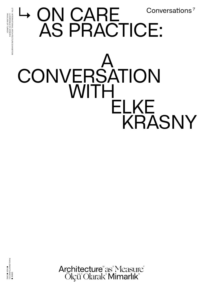## ↳ ON CARE AS PRACTICE: A CONVERSATION **WITH**  ELKE KRASNY Conversations 7



 PAVILION OF TURKEY LA BIENNALE DI VENEZIA 17TH INTERNATIONAL ARCHITECTURE EXHIBITION

17TH INTERNATIONAL ARCHITECTURE EXHIBITION<br>LA BIENNALE DI VENEZIA<br>PAVILION OF TURKEY

Architecture<sup>"</sup> as' Measure' Ölçü Olarak Mimarlık<sup>®</sup>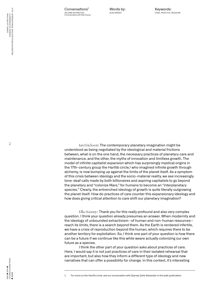17TH INTERNATIONAL ARCHITECTURE EXHIBITION<br>LA BIENNALE DI VENEZIA<br>PAVILION OF TURKEY 17TH INTERNATIONAL ARCHITECTURE EXHIBITION PAVILION OF TURKEY LA BIENNALE DI VENEZIA

Words by: ELKE KRASNY

Ian Erickson: The contemporary planetary imagination might be understood as being negotiated by the ideological and material frictions between, what is on the one hand, the necessary practices of planetary care and maintenance, and the other, the myths of innovation and limitless growth. The model of infinite capitalist expansion which has surprisingly mystical origins in the 17th-century group the Hartlib circle, $\frac{1}{2}$  who imagined infinite growth through alchemy, is now bumping up against the limits of the planet itself. As a symptom of this crisis between ideology and the socio-material reality, we see increasingly tone-deaf calls made by both billionaires and aspiring capitalists to go beyond the planetary and "colonize Mars," for humans to become an "interplanetary species." Clearly, the entrenched ideology of growth is quite literally outgrowing the planet itself. How do practices of care counter this expansionary ideology and how does giving critical attention to care shift our planetary imagination?

Elke Krasny: Thank you for this really profound and also very complex question. I think your question already presumes an answer. When modernity and the ideology of unbounded extractivism—of human and non-human resources reach its limits, there is a search beyond them. As the Earth is rendered infertile, we have a crisis of reproduction beyond the human, which requires there to be another territory for exploitation. So, I think one part of your question is how there can be a future if we continue like this while weare actually colonizing our own future as a species.

I think the other part of your question asks about practices of care. Here, I would say it is not just practices of care in their isolated rehearsal that are important, but also how they inform a different type of ideology and new narratives that can offer a possibility for change. In this context, it's interesting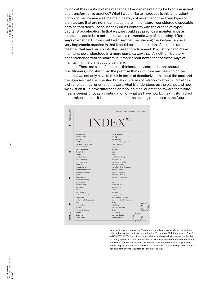to look at the question of maintenance. How can maintaining be both a resistant and transformative practice? What I would like to introduce is this ambivalent notion of maintenance as maintaining ways of resisting for the given types of architecture that are not meant to be there in the future—considered disposable or to be torn down—because they didn't conform with the criteria of hypercapitalist acceleration. In that way, we could say practicing maintenance as resistance could be a bottom-up and a rhizomatic way of instituting different ways of existing. But we could also say that maintaining the system can be a very hegemonic practice in that it could be a continuation of all those forces together that have led us into the current predicament. I'm just trying to make maintenance understood in a more complex way that it's neither liberatory nor entrenched with capitalism, but more about how either of these ways of maintaining the planet could be there.

There are a lot of scholars, thinkers, activists, and architectural practitioners, who start from the premise that our future has been colonized and that we not only have to think in terms of decolonization about the past and the legacies that are inherited but also in terms of relation to growth. Growth is a chrono-political orientation toward what is understood as the planet and how we exist on it. To have different a chrono-political orientation toward the future means seeing it not as a continuation of what we have now but taking its injured and broken state as it is to maintain it for the healing processes in the future.



Index as fictional paperwork. This paperwork lists keywords from the website publication content that is exhibited at the "Diorama of Maintenance and Care," in NEMESTUDIO's Four Dioramas installation at the physical space of the Pavilion of Turkey at the 2021 Venice Architecture Biennale. The dioramas in the Pavilion showcase some of the website publication content and fictional paperwork where they all become part of the mise-en-scènes of the stories depicted. Graphic design by Paleworks. Courtesy of Pavilion of Turkey.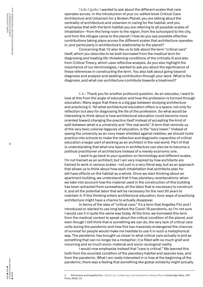Melis Uğurlu: I wanted to ask about the different scales that care operates across. In the introduction of your co-edited book Critical Care: Architecture and Urbanism for a Broken Planet, you are talking about the centrality of architecture and urbanism in caring for the habitat, and you emphasize that with the term habitat you are referring to all possible scales of inhabitation—from the living room to the region, from the schoolyard to the city, and from the refugee camp to the planet.<sup>2</sup> How do you see possible effective contributions taking place across the different scales that architecture operates in, and particularly in architecture's relationship to the planet?

Concerning that, I'd also like us to talk about the term "critical care" itself, which you describe to be both borrowed from the medical term for diagnosing and treating life-threatening conditions of the critically ill and also from Critical Theory, which uses reflective analysis. As you also highlight the importance of our terminologies, I wanted to ask you about the significance of these references in constructing the term. You also talk about going beyond diagnosis and analysis and seeking contribution through your work. What is the diagnosis, and what can architecture contribute towards a treatment?

E.K.: Thank you for another profound question. As an educator, I want to look at this from the angle of education and how the profession is formed through education. Many argue that there is a big gap between studying architecture and practicing it. Yet what architectural education offers is a space, not only for reflection but also for diagnosing the ills of the profession. So what would be interesting to think about is how architectural education could become more oriented toward changing the practice itself instead of accepting the kind of split between what is a university and "the real world." A term that reminds us of the very toxic colonial legacies of education, is the "ivory tower." Instead of seeing the university as an ivory tower shielded against realities, we should invite practice into schools to make the reflective and diagnostic capacities of critical education a larger part of working as an architect in the real world. Part of that is understanding that what one learns in architecture can also be to become a political practitioner of architecture instead of a merely economic one.

I want to go back to your question on terminology and different scales. I'm not trained as an architect, but I am very inspired by how architects are trained to work in various scales—not just in a very literal way, but as an approach that allows us to think about how each inhabitation that architects plan for will have effects on the habitat as a whole. Once we start thinking about an apartment building, we understand that it has planetary reverberations: when we take into account how the material used in the construction of this building has been extracted from somewhere, all the labor that is necessary to construct it, and all the potential labor that will be necessary for the next 50 years to maintain it. If this thinking enters architectural education, toxic ways of practicing architecture might have a chance to actually disappear.

In terms of the idea of "critical care," it's a term that Angelika Fitz and I introduced or started to use long before the Covid-19 pandemic, so I'm not sure I would use it in quite the same way today. At the time, we borrowed this term from the medical context to speak about the critical condition of the planet, and even though I still think that is something we can do, the very lack of critical care units during the pandemic and how this has massively endangered the chances of survival for people would make me hesitate to use it in such a metaphorical way. The pandemic has brought us closer to what critical care actually is and as something that can no longer be a metaphor; it is filled with so much grief and mourning and so much socio-material and socio-ecological reality.

I would now emphasize instead that "care is critical." We learned this both from the ecocidal condition of the planetary habitat and species loss, and from the pandemic. What I am really interested in is how at the beginning of the pandemic, there was a feeling that something like global solidarity might actually

<sup>2</sup> Elke Krasny and Angelika Fitz, Critical Care: Architecture and Urbanism for a Broken Planet (Cambridge, Mass.: MIT Press, 2019): 13.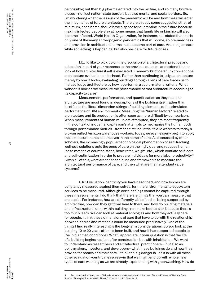be possible; but then big pharma entered into the picture, and so many borders closed—not just nation-state borders but also mental and social borders. So, I'm wondering what the lessons of the pandemic will be and how these will enter the imaginaries of future architects. There are already some suggestionsthat, at minimum, each home should have a space for quarantine in the future because making infected people stay at home means that family life or kinship will also become infected. World Health Organization, for instance, has stated that this is only one of the many anthropogenic pandemics that will come, so preparedness and provision in architectural terms must become part of care. And not just care while something is happening, but also pre-care for future crises.

I.E.: I'd like to pick up on the discussion of architectural practice and education in part of your response to the previous question and extend that to look at how architecture itself is evaluated. Frameworks of care turn conventional architecture evaluation on its head. Rather than continuing to judge architecture merely by how it looks, evaluating buildings through a lens of care forces us to instead judge architecture by how it performs, a socio-material criteria. What I wonder is how do we measure the performance of that architecture according to its capacity to care?

Measurement, performance, and quantification as they relate to architecture are most found in descriptions of the building itself rather than its effects: the literal dimension strings of building elements or the simulated performance of BIM environments. Measuring the "human factors" related to architecture and its production is often seen as more difficult by comparison. When measurements of human value are attempted, they are most frequently in the context of industrial capitalism's attempts to mechanize the human body through performance metrics—from the first industrial textile workers to today's bio-surveilled Amazon warehouse workers. Today, we even eagerly begin to apply these measurements to ourselves in the name of care. As discussed by other scholars, the increasingly popular technological phenomenon of self-tracking wellness solutions puts the onus of care on the individual and reduces human life to metrics of counted steps, heart rates, weight, etc., which conflate self-care and self-optimization in order to prepare individuals for more labor productivity.3 Given all of this, what are the techniques and frameworks to measure the architectural performance of care, and then what are their attendant value systems?

E.K.: Evaluation-centricity you have described, and how bodies are constantly measured against themselves, turn the environments to ecosystem services to be measured. Although certain things cannot be captured through these measurements, I do think that there are things that you can measure that are useful. For instance, how are differently-abled bodies being supported by architecture, how can they get from here to there, and how do building materials and infrastructural units within buildings not make bodies sick because there's too much lead? We can look at material ecologies and how they actually care for people. I think these dimensions of care that have to do with the relationship between bodies and materials could be measured productively. One of the things I find really interesting is the long-term considerations: do you look at the building 10 or 20 years after it's been built, and how it has supported people to live in dignified conditions? What I appreciate in your question is that the life of a building begins not just after construction but with inhabitation. We want to understand as researchers and architectural practitioners— but also as policymakers, investors, and developers—what these buildings do and how they provide for bodies and their care. I think the big danger is—as it is with all these other evaluation-centric measures—in that we might end up with whole new types of care washing as we are already experiencing with greenwashing. How do

<sup>3</sup> For more on this point, see Hi'ilei Julia Kawehipuaakahaopulani Hobart and Tamara Kneese in "Radical Care: Survival Strategies for Uncertain Times," Social Text 38 (2020): 1–16.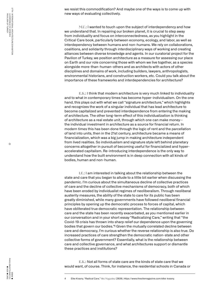we resist this commodification? And maybe one of the ways is to come up with new ways of evaluating collectively.

M.U.: I wanted to touch upon the subject of interdependency and how we understand that. In repairing our broken planet, it is crucial to step away from individuality and focus on interconnectedness, as you highlight in the Critical Care book, particularly between economy, ecology, and labor, as well as interdependency between humans and non-humans. We rely on collaborations, coalitions, and solidarity through interdisciplinary ways of working and creating alliances between diverse knowledge and agents. In our curatorial project for the Pavilion of Turkey, we position architecture as a measure for assessing our place on Earth and our role concerning those with whom we live together, as a species alongside more-than-human-others and as architects with actors of other disciplines and domains of work, including builders, lawyers, anthropologists, environmental historians, and construction workers, etc. Could you talk about the importance of these frameworks and interdependencies for architecture?

E.K.: I think that modern architecture is very much linked to individuality and to what in contemporary times has become hyper-individualism. On the one hand, this plays out with what we call "signature architecture," which highlights and recognizes the work of a singular individual that has lead architecture to become capitalized and prevented interdependence from entering the making of architecture. The other long-term effect of this individualization is thinking of architecture as a real estate unit, through which one can make money the individual investment in architecture as a source for financial return. In modern times this has been done through the logic of rent and the parcellation of land into units, then in the 21st century, architecture became a means of financialization, which was a big jump in making architecture independent from lived realities. So individualism and signature style left behind planetary concerns altogether in pursuit of becoming useful for financialized and hyperaccelerated capitalism. Re-introducing interdependence is the only way to understand how the built environment is in deep connection with all kinds of bodies, human and non-human.

I.E.: I am interested in talking about the relationship between the state and care that you began to allude to a little bit earlier when discussing the pandemic. I'm curious about the simultaneous decline of collective practices of care and the decline of collective mechanisms of democracy, both of which have been eroded by individualist regimes of neoliberalism. Through neoliberal austerity measures, the ability of the state to care for its public has been greatly diminished, while many governments have followed neoliberal financial principles by opening up the democratic process to forces of capital, which have obliterated true democratic representation. The relationship between care and the state has been recently exacerbated, as you mentioned earlier in our conversation and in your short essay "Radicalizing Care," writing that "the Covid-19 crisis has thrown into sharp relief our dependence upon the governing bodies that govern our bodies. $4\frac{1}{4}$  Given the mutually correlated decline between care and democracy, I'm curious whether the reverse relationship is also true. Do increased practices of care strengthen the democratic nation-state and other collective forms of government? Essentially, what is the relationship between care and collective governance, and what architectures support or dismantle these practices and institutions?

E.K.: Not all forms of state care are the kinds of state care that we would want, of course. Think, for instance, the residential schools in Canada or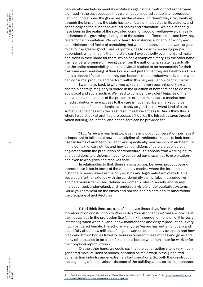people who are held in mental institutions against their will, or bodies that were sterilized in the past because they were not considered suitable to reproduce. Each country around the globe has similar stories in different ways. So, thinking through the lens of how the state has taken care of the bodies of its citizens, and specifically on the questions around health and education—which historically have been in the realm of the so-called common good or welfare—we can really understand the governing ideologies of the states at different times and how they relate to their population. We would learn, for instance, a lot about toxicity and state violence and forms of caretaking that were not benevolent but were argued to be for the greater good. Care, very often, has to do with rendering people dependent, which means that the state can have authority over them and make decisions in their name for them, which has a complex history. On the other hand, the neoliberal promise of freeing care from the authoritarian state has actually put the entire responsibility on the individual subject to be responsible for their own care and caretaking of their bodies—not just so that they are healthy and can enjoy a decent life but so that they can become more productive individuals who can consume, produce and perform within this very evaluation-centric matrix.

I want to go back to what you asked at the very beginning, of how a shared planetary imaginary is rooted in the question of how care has to do with ecological and social justice. We need to consider the violent legacies of the past and the inequalities of the present in order to make care a mechanism of redistribution where access to the care is not a neoliberal market choice. In the context of the pandemic, care is only as good as the worst kind of care, something the ones with the least resources have access to. And I think this is where I would look at architecture because it builds the infrastructures through which housing, education, and health care can be provided for.

M.U.: As we are reaching towards the end of our conversation, perhaps it is important to talk about how the discipline of architecture needs to look back at itself in terms of architectural labor, and specifically, how we work in architecture in the context of care ethics and how our conditions of care are applied and neglected within the production of architecture—this spans from working hours and conditions to divisions of labor to gendered pay disparities to exploitation and even to who gives and receives care.

In relationship to that, there's also a big gap between productive and reproductive labor in terms of the value they receive, where the former has historically been viewed as the only existing and legitimate form of work. This separation further extends with the gendered division of labor: reproductive and care work is feminized, defined as women's roles in society, and largely misrecognized, undervalued, and rendered invisible under capitalist systems. Could you comment on the ethics and politics behind care and its labor within the discipline of architecture?

E.K.: I think there are a lot of initiatives these days, from the global moratorium on construction to Who Builds Your Architecture? that are looking at the inequalities in the profession itself. I think the gender dimension of it is really interesting when we think about how maintenance and daily reproduction is very much gendered female. The scholar Françoise Vergès has written critically and beautifully about how millions of migrant women open the city every day and how black and brown bodies travel for hours in order for these offices and gyms and many other spaces to be clean for all these bodies who then enter for work or for their physical reproduction.<sup>5</sup>

On the other hand, we could say that the construction site is very much gendered male; millions of bodies identified as male work in the globalized construction industry under extremely bad conditions. So, both the construction, the beginning of the physical existence of the building, and also its maintenance,

<sup>5</sup> See Françoise Vergès, "Capitalocene, Waste, Race, and Gender," e-flux 100 (May 2019). https://www.e-flux.com/ journal/100/269165/capitalocene-waste-race-and-gender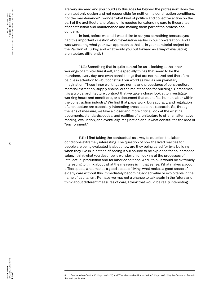are very uncared and you could say this goes far beyond the profession: does the architect only design and not responsible for neither the construction conditions, nor the maintenance? I wonder what kind of politics and collective action on the part of the architectural profession is needed for extending care to these sites of construction and maintenance and making them part of the professional concern.

In fact, before we end, I would like to ask you something because you had this important question about evaluation earlier in our conversation. And I was wondering what your own approach to that is, in your curatorial project for the Pavilion of Turkey, and what would you put forward as a way of evaluating architecture differently?

M.U.: Something that is quite central for us is looking at the inner workings of architecture itself, and especially things that seem to be the mundane, every day, and even banal, things that are normalized and therefore paid less attention to—but construct our world as well as our planetary imagination. These inner workings are norms and procedures of construction, material extraction, supply chains, or the maintenance for buildings. Sometimes it is a typical architecture contract that we take a closer look at to investigate working hours and conditions, or a document that quantifies human labor within the construction industry.<sup>6</sup> We find that paperwork, bureaucracy, and regulation of architecture are especially interesting areas to do this research. So, through the lens of measure, we take a closer and more critical look at the existing documents, standards, codes, and realities of architecture to offer an alternative reading, evaluation, and eventually imagination about what constitutes the idea of "environment."

E.K.: I find taking the contractual as a way to question the labor conditions extremely interesting. The question of how the lived realities for people are being evaluated is about how are they being cared for by a building when they live in it instead of seeing it our source to be exploited for an increased value. I think what you describe is wonderful for looking at the processes of intellectual production and for labor conditions. And I think it would be extremely interesting to think about what the measure is in that sense. What makes a good office space, what makes a good space of living, what makes a good space of elderly care without this immediately becoming added value or exploitable in the name of capitalism. Perhaps we may get a chance to talk again in the future and think about different measures of care, I think that would be really interesting.



<sup>6</sup> See "Another Contract" (Paperwork-22) and "The Measurable Human Value," (Paperwork-1) by the Curatorial Team in this web publication.